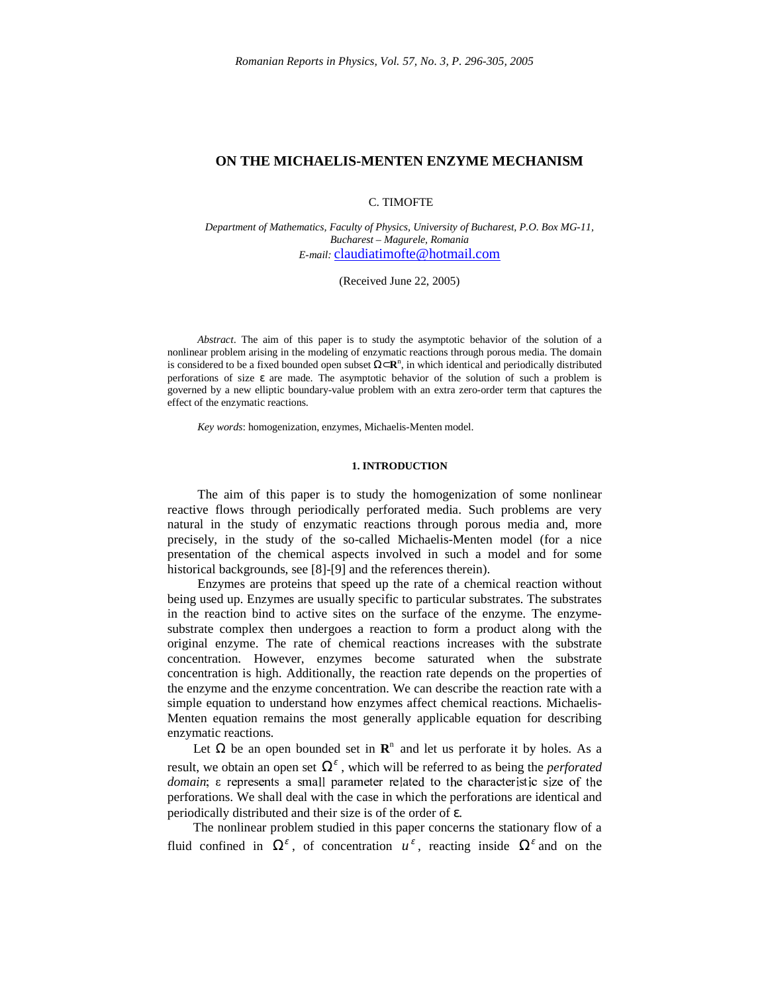## **ON THE MICHAELIS-MENTEN ENZYME MECHANISM**

## C. TIMOFTE

*Department of Mathematics, Faculty of Physics, University of Bucharest, P.O. Box MG-11, Bucharest – Magurele, Romania E-mail:* claudiatimofte@hotmail.com

(Received June 22, 2005)

*Abstract*. The aim of this paper is to study the asymptotic behavior of the solution of a nonlinear problem arising in the modeling of enzymatic reactions through porous media. The domain is considered to be a fixed bounded open subset  $\Omega \subset \mathbb{R}^n$ , in which identical and periodically distributed perforations of size ε are made. The asymptotic behavior of the solution of such a problem is governed by a new elliptic boundary-value problem with an extra zero-order term that captures the effect of the enzymatic reactions.

*Key words*: homogenization, enzymes, Michaelis-Menten model.

### **1. INTRODUCTION**

The aim of this paper is to study the homogenization of some nonlinear reactive flows through periodically perforated media. Such problems are very natural in the study of enzymatic reactions through porous media and, more precisely, in the study of the so-called Michaelis-Menten model (for a nice presentation of the chemical aspects involved in such a model and for some historical backgrounds, see [8]-[9] and the references therein).

Enzymes are proteins that speed up the rate of a chemical reaction without being used up. Enzymes are usually specific to particular substrates. The substrates in the reaction bind to active sites on the surface of the enzyme. The enzymesubstrate complex then undergoes a reaction to form a product along with the original enzyme. The rate of chemical reactions increases with the substrate concentration. However, enzymes become saturated when the substrate concentration is high. Additionally, the reaction rate depends on the properties of the enzyme and the enzyme concentration. We can describe the reaction rate with a simple equation to understand how enzymes affect chemical reactions. Michaelis-Menten equation remains the most generally applicable equation for describing enzymatic reactions.

Let  $\Omega$  be an open bounded set in  $\mathbb{R}^n$  and let us perforate it by holes. As a result, we obtain an open set  $\Omega^{\varepsilon}$ , which will be referred to as being the *perforated* domain; e represents a small parameter related to the characteristic size of the perforations. We shall deal with the case in which the perforations are identical and periodically distributed and their size is of the order of ε.

 The nonlinear problem studied in this paper concerns the stationary flow of a fluid confined in  $\Omega^{\varepsilon}$ , of concentration  $u^{\varepsilon}$ , reacting inside  $\Omega^{\varepsilon}$  and on the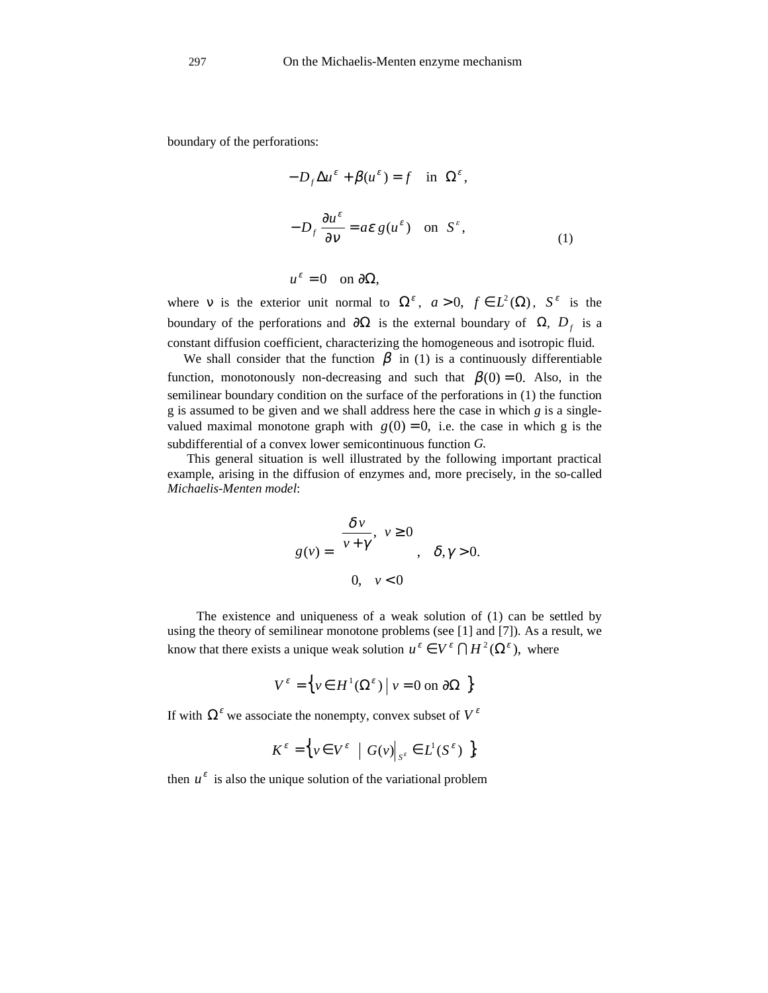boundary of the perforations:

$$
\begin{cases}\n-D_f \Delta u^{\varepsilon} + \beta(u^{\varepsilon}) = f & \text{in } \Omega^{\varepsilon}, \\
-D_f \frac{\partial u^{\varepsilon}}{\partial v} = a\varepsilon g(u^{\varepsilon}) & \text{on } S^{\varepsilon}, \\
u^{\varepsilon} = 0 & \text{on } \partial \Omega,\n\end{cases}
$$
\n(1)

where v is the exterior unit normal to  $\Omega^{\varepsilon}$ ,  $a > 0$ ,  $f \in L^{2}(\Omega)$ ,  $S^{\varepsilon}$  is the boundary of the perforations and  $\partial\Omega$  is the external boundary of  $\Omega$ ,  $D_f$  is a constant diffusion coefficient, characterizing the homogeneous and isotropic fluid.

We shall consider that the function  $\beta$  in (1) is a continuously differentiable function, monotonously non-decreasing and such that  $\beta(0) = 0$ . Also, in the semilinear boundary condition on the surface of the perforations in (1) the function g is assumed to be given and we shall address here the case in which *g* is a singlevalued maximal monotone graph with  $g(0) = 0$ , i.e. the case in which g is the subdifferential of a convex lower semicontinuous function *G.*

 This general situation is well illustrated by the following important practical example, arising in the diffusion of enzymes and, more precisely, in the so-called *Michaelis-Menten model*:

$$
g(v) = \begin{cases} \frac{\delta v}{v + \gamma}, & v \ge 0 \\ 0, & v < 0 \end{cases}, \delta, \gamma > 0.
$$

 The existence and uniqueness of a weak solution of (1) can be settled by using the theory of semilinear monotone problems (see [1] and [7]). As a result, we know that there exists a unique weak solution  $u^{\varepsilon} \in V^{\varepsilon} \cap H^{2}(\Omega^{\varepsilon})$ , where

$$
V^{\varepsilon} = \left\{ v \in H^{1}(\Omega^{\varepsilon}) \mid v = 0 \text{ on } \partial\Omega \right\}
$$

If with  $\Omega^{\varepsilon}$  we associate the nonempty, convex subset of  $V^{\varepsilon}$ 

$$
K^{\varepsilon} = \Big\{ v \in V^{\varepsilon} \mid G(v) \big|_{S^{\varepsilon}} \in L^{1}(S^{\varepsilon}) \Big\},
$$

then  $u^{\varepsilon}$  is also the unique solution of the variational problem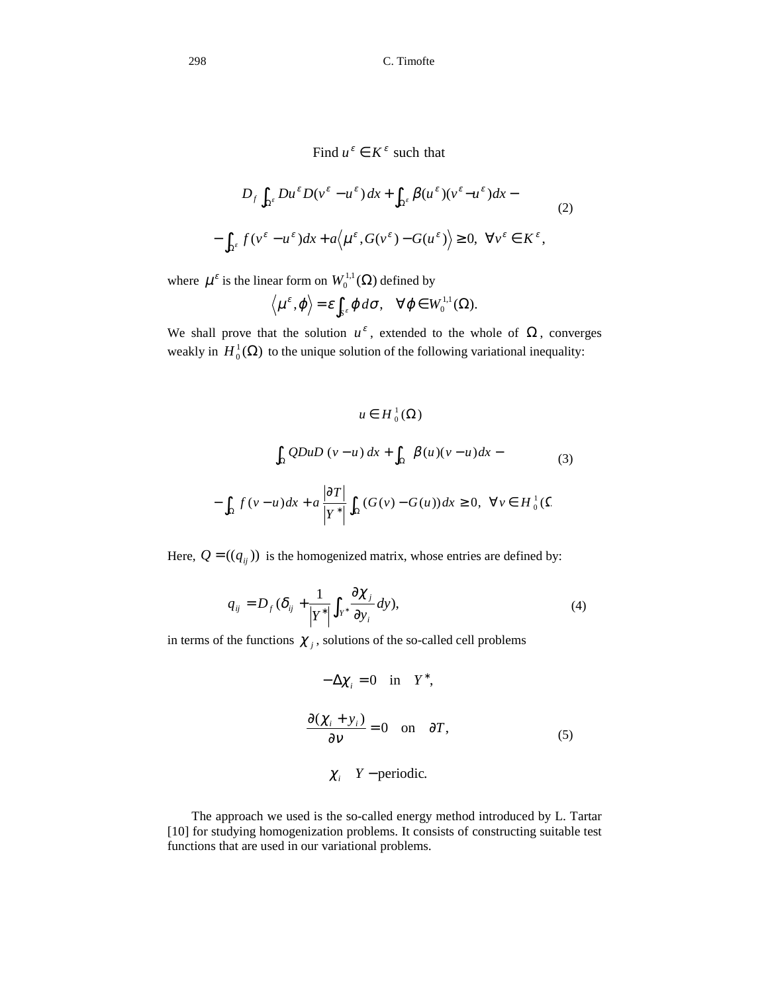298 C. Timofte

Find 
$$
u^{\varepsilon} \in K^{\varepsilon}
$$
 such that  
\n
$$
D_{f} \int_{\Omega^{\varepsilon}} Du^{\varepsilon} D(v^{\varepsilon} - u^{\varepsilon}) dx + \int_{\Omega^{\varepsilon}} \beta(u^{\varepsilon})(v^{\varepsilon} - u^{\varepsilon}) dx -
$$
\n
$$
- \int_{\Omega^{\varepsilon}} f(v^{\varepsilon} - u^{\varepsilon}) dx + a \langle u^{\varepsilon}, G(v^{\varepsilon}) - G(u^{\varepsilon}) \rangle \ge 0, \quad \forall v^{\varepsilon} \in K^{\varepsilon},
$$
\n(2)

where  $\mu^{\varepsilon}$  is the linear form on  $W_0^{1,1}(\Omega)$  defined by

$$
\langle \mu^{\varepsilon}, \varphi \rangle = \varepsilon \int_{S^{\varepsilon}} \varphi \, d\sigma, \quad \forall \varphi \in W_0^{1,1}(\Omega).
$$

We shall prove that the solution  $u^{\varepsilon}$ , extended to the whole of  $\Omega$ , converges weakly in  $H_0^1(\Omega)$  to the unique solution of the following variational inequality:

$$
u \in H_0^1(\Omega)
$$
  

$$
\int_{\Omega} QDuD(v-u) dx + \int_{\Omega} \beta(u)(v-u) dx -
$$
  

$$
-\int_{\Omega} f(v-u) dx + a \frac{|\partial T|}{|Y^*|} \int_{\Omega} (G(v) - G(u)) dx \ge 0, \forall v \in H_0^1(\Omega)
$$

Here,  $Q = ((q_{ij}))$  is the homogenized matrix, whose entries are defined by:

$$
q_{ij} = D_f (\delta_{ij} + \frac{1}{|Y^*|} \int_{Y^*} \frac{\partial \chi_j}{\partial y_i} dy), \tag{4}
$$

in terms of the functions  $\chi_j$ , solutions of the so-called cell problems

$$
\begin{cases}\n-\Delta \chi_i = 0 & \text{in } Y^*, \\
\frac{\partial (\chi_i + y_i)}{\partial v} = 0 & \text{on } \partial T, \\
\chi_i & Y - \text{periodic.} \n\end{cases}
$$
\n(5)

 The approach we used is the so-called energy method introduced by L. Tartar [10] for studying homogenization problems. It consists of constructing suitable test functions that are used in our variational problems.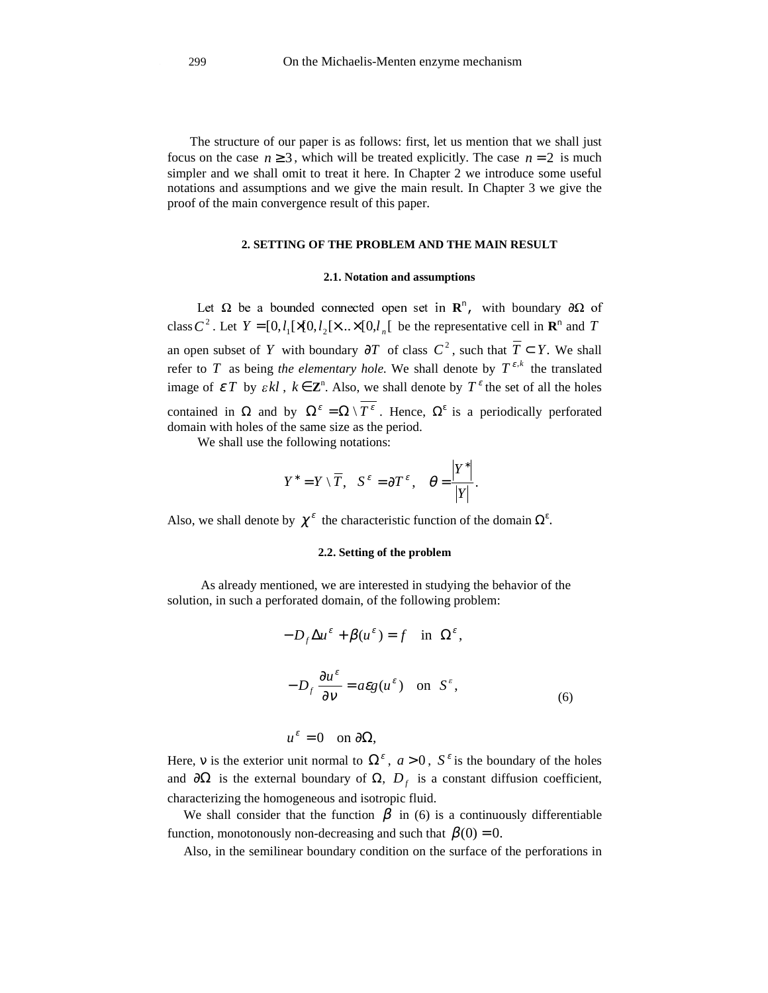The structure of our paper is as follows: first, let us mention that we shall just focus on the case  $n \ge 3$ , which will be treated explicitly. The case  $n = 2$  is much simpler and we shall omit to treat it here. In Chapter 2 we introduce some useful notations and assumptions and we give the main result. In Chapter 3 we give the proof of the main convergence result of this paper.

## **2. SETTING OF THE PROBLEM AND THE MAIN RESULT**

### **2.1. Notation and assumptions**

**R**<sup>n</sup>, with boundary  $\partial \Omega$  of class  $C^2$ . Let  $Y = [0, l_1] \times [0, l_2] \times ... \times [0, l_n]$  be the representative cell in  $\mathbb{R}^n$  and T an open subset of *Y* with boundary  $\partial T$  of class  $C^2$ , such that  $\overline{T} \subset Y$ . We shall refer to *T* as being the elementary hole. We shall denote by  $T^{\varepsilon,k}$  the translated image of  $\mathcal{E}T$  by  $\mathcal{E}kl$ ,  $k \in \mathbb{Z}^n$ . Also, we shall denote by  $T^{\varepsilon}$  the set of all the holes contained in  $\Omega$  and by  $\Omega^{\varepsilon} = \Omega \setminus T^{\varepsilon}$ . Hence,  $\Omega^{\varepsilon}$  is a periodically perforated domain with holes of the same size as the period.

We shall use the following notations:

$$
Y^* = Y \setminus \overline{T}
$$
,  $S^{\varepsilon} = \partial T^{\varepsilon}$ ,  $\theta = \frac{|Y^*|}{|Y|}$ .

Also, we shall denote by  $\chi^{\varepsilon}$  the characteristic function of the domain  $\Omega^{\varepsilon}$ .

### **2.2. Setting of the problem**

As already mentioned, we are interested in studying the behavior of the solution, in such a perforated domain, of the following problem:

$$
\begin{cases}\n-D_f \Delta u^{\varepsilon} + \beta (u^{\varepsilon}) = f & \text{in } \Omega^{\varepsilon}, \\
-D_f \frac{\partial u^{\varepsilon}}{\partial v} = a \varepsilon g(u^{\varepsilon}) & \text{on } S^{\varepsilon}, \\
u^{\varepsilon} = 0 & \text{on } \partial \Omega,\n\end{cases}
$$
\n(6)

Here, v is the exterior unit normal to  $\Omega^{\varepsilon}$ ,  $a > 0$ ,  $S^{\varepsilon}$  is the boundary of the holes and  $\partial\Omega$  is the external boundary of  $\Omega$ ,  $D_f$  is a constant diffusion coefficient, characterizing the homogeneous and isotropic fluid.

We shall consider that the function  $\beta$  in (6) is a continuously differentiable function, monotonously non-decreasing and such that  $\beta(0) = 0$ .

Also, in the semilinear boundary condition on the surface of the perforations in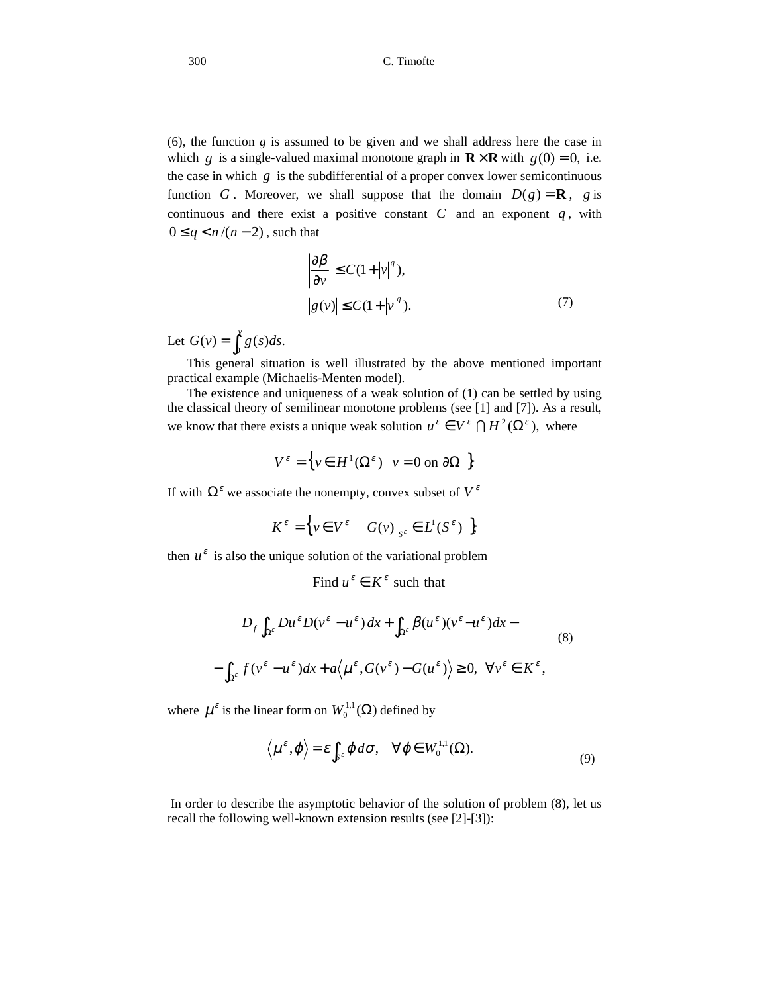(6), the function *g* is assumed to be given and we shall address here the case in which *g* is a single-valued maximal monotone graph in  $\mathbf{R} \times \mathbf{R}$  with  $g(0) = 0$ , i.e. the case in which  $g$  is the subdifferential of a proper convex lower semicontinuous function *G*. Moreover, we shall suppose that the domain  $D(g) = \mathbf{R}$ , *g* is continuous and there exist a positive constant  $C$  and an exponent  $q$ , with  $0 \leq q < n/(n-2)$ , such that

$$
\left|\frac{\partial \beta}{\partial v}\right| \le C(1+|v|^q),
$$
  

$$
|g(v)| \le C(1+|v|^q).
$$
 (7)

Let  $G(v) = \int_0^v g(s)ds$ .

ſ

 This general situation is well illustrated by the above mentioned important practical example (Michaelis-Menten model).

 The existence and uniqueness of a weak solution of (1) can be settled by using the classical theory of semilinear monotone problems (see [1] and [7]). As a result, we know that there exists a unique weak solution  $u^{\varepsilon} \in V^{\varepsilon} \cap H^2(\Omega^{\varepsilon})$ , where

$$
V^{\varepsilon} = \left\{ v \in H^{1}(\Omega^{\varepsilon}) \mid v = 0 \text{ on } \partial\Omega \right\}
$$

If with  $\Omega^{\varepsilon}$  we associate the nonempty, convex subset of  $V^{\varepsilon}$ 

$$
K^{\varepsilon} = \Big\{ v \in V^{\varepsilon} \mid G(v) \big|_{S^{\varepsilon}} \in L^{1}(S^{\varepsilon}) \Big\},
$$

then  $u^{\varepsilon}$  is also the unique solution of the variational problem

Find 
$$
u^{\varepsilon} \in K^{\varepsilon}
$$
 such that  
\n
$$
D_{f} \int_{\Omega^{\varepsilon}} D u^{\varepsilon} D (v^{\varepsilon} - u^{\varepsilon}) dx + \int_{\Omega^{\varepsilon}} \beta (u^{\varepsilon}) (v^{\varepsilon} - u^{\varepsilon}) dx -
$$
\n
$$
- \int_{\Omega^{\varepsilon}} f (v^{\varepsilon} - u^{\varepsilon}) dx + a \langle u^{\varepsilon}, G (v^{\varepsilon}) - G (u^{\varepsilon}) \rangle \ge 0, \quad \forall v^{\varepsilon} \in K^{\varepsilon},
$$
\n(8)

where  $\mu^{\varepsilon}$  is the linear form on  $W_0^{1,1}(\Omega)$  defined by

$$
\langle \mu^{\varepsilon}, \varphi \rangle = \varepsilon \int_{S^{\varepsilon}} \varphi \, d\sigma, \quad \forall \varphi \in W_0^{1,1}(\Omega). \tag{9}
$$

In order to describe the asymptotic behavior of the solution of problem (8), let us recall the following well-known extension results (see [2]-[3]):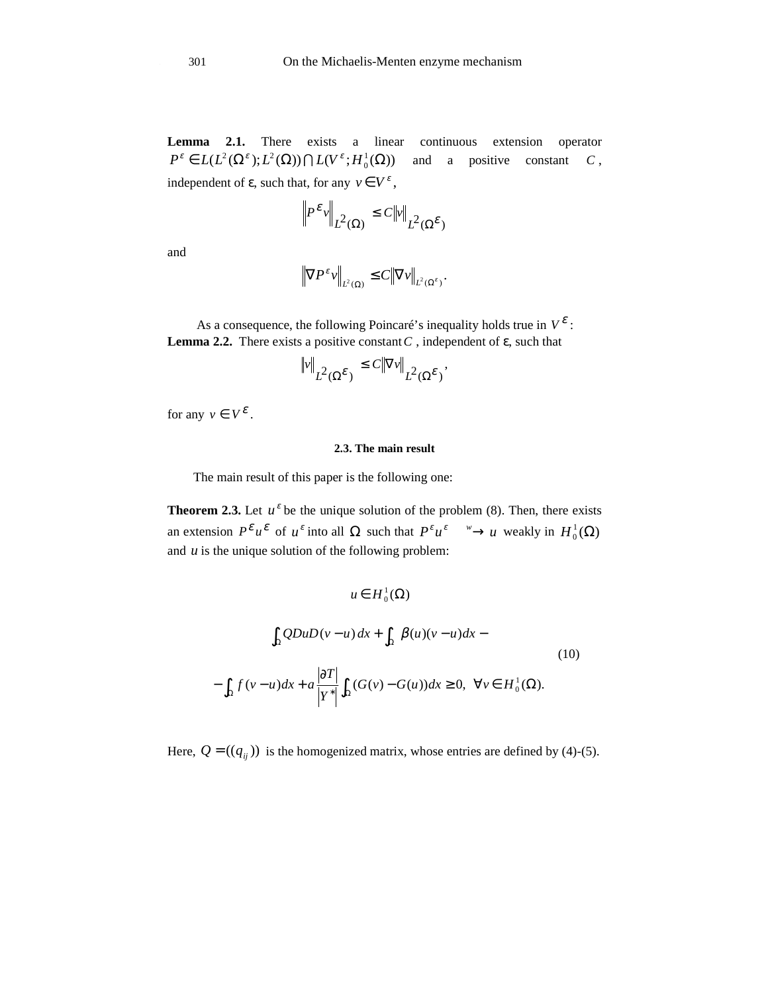**Lemma 2.1.** There exists a linear continuous extension operator  $P^{\varepsilon} \in L(L^2(\Omega^{\varepsilon}); L^2(\Omega)) \bigcap L(V^{\varepsilon}; H_0^1(\Omega))$ and a positive constant *C* , independent of  $\varepsilon$ , such that, for any  $v \in V^{\varepsilon}$ ,

$$
\left\| P^{\varepsilon} v \right\|_{L^2(\Omega)} \le C \|v\|_{L^2(\Omega^{\varepsilon})}
$$

and

$$
\left\|\nabla P^{\varepsilon}v\right\|_{L^{2}(\Omega)} \leq C\left\|\nabla v\right\|_{L^{2}(\Omega^{\varepsilon})}.
$$

As a consequence, the following Poincaré's inequality holds true in  $V^{\varepsilon}$ : **Lemma 2.2.** There exists a positive constant  $C$ , independent of  $\varepsilon$ , such that

$$
\|\mathbf{v}\|_{L^2(\Omega^{\mathcal{E}})} \leq C \|\nabla \mathbf{v}\|_{L^2(\Omega^{\mathcal{E}})},
$$

for any  $v \in V^{\mathcal{E}}$ .

 $\overline{\phantom{a}}$ 

# **2.3. The main result**

The main result of this paper is the following one:

**Theorem 2.3.** Let  $u^{\varepsilon}$  be the unique solution of the problem (8). Then, there exists an extension  $P^{\varepsilon} u^{\varepsilon}$  of  $u^{\varepsilon}$  into all  $\Omega$  such that  $P^{\varepsilon} u^{\varepsilon} \longrightarrow u$  weakly in  $H_0^1(\Omega)$ and *u* is the unique solution of the following problem:

$$
u \in H_0^1(\Omega)
$$
  

$$
\int_{\Omega} QDuD(v-u) dx + \int_{\Omega} \beta(u)(v-u) dx -
$$
  

$$
-\int_{\Omega} f(v-u) dx + a \frac{|\partial T|}{|Y^*|} \int_{\Omega} (G(v) - G(u)) dx \ge 0, \ \forall v \in H_0^1(\Omega).
$$
 (10)

Here,  $Q = ((q_{ij}))$  is the homogenized matrix, whose entries are defined by (4)-(5).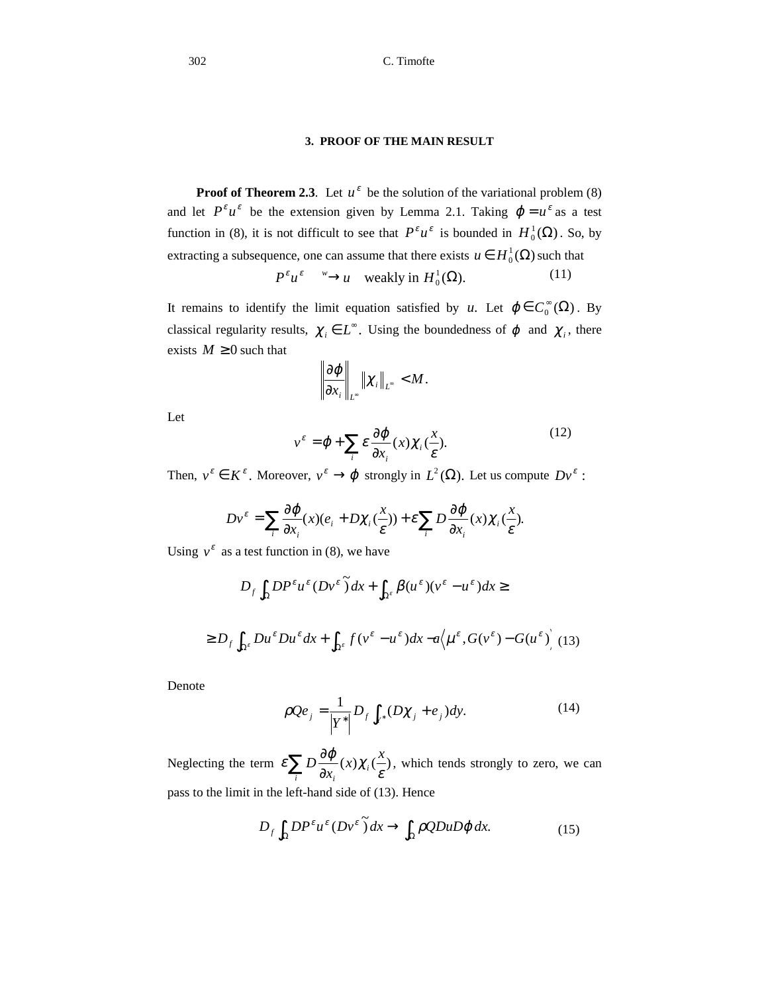## **3. PROOF OF THE MAIN RESULT**

**Proof of Theorem 2.3***.* Let  $u^{\varepsilon}$  be the solution of the variational problem (8) and let  $P^{\varepsilon} u^{\varepsilon}$  be the extension given by Lemma 2.1. Taking  $\varphi = u^{\varepsilon}$  as a test function in (8), it is not difficult to see that  $P^{\varepsilon}u^{\varepsilon}$  is bounded in  $H_0^1(\Omega)$ . So, by extracting a subsequence, one can assume that there exists  $u \in H_0^1(\Omega)$  such that

$$
P^{\varepsilon}u^{\varepsilon} \xrightarrow{w} u \quad \text{weakly in } H_0^1(\Omega). \tag{11}
$$

It remains to identify the limit equation satisfied by *u*. Let  $\varphi \in C_0^{\infty}(\Omega)$ . By classical regularity results,  $\chi_i \in L^{\infty}$ . Using the boundedness of  $\varphi$  and  $\chi_i$ , there exists  $M \geq 0$  such that

$$
\left\|\frac{\partial \varphi}{\partial x_i}\right\|_{L^{\infty}}\left\|\chi_i\right\|_{L^{\infty}}
$$

Let

$$
v^{\varepsilon} = \varphi + \sum_{i} \varepsilon \frac{\partial \varphi}{\partial x_i}(x) \chi_i(\frac{x}{\varepsilon}).
$$
\n(12)

Then,  $v^{\varepsilon} \in K^{\varepsilon}$ . Moreover,  $v^{\varepsilon} \to \varphi$  strongly in  $L^2(\Omega)$ . Let us compute  $Dv^{\varepsilon}$ :

$$
Dv^{\varepsilon} = \sum_{i} \frac{\partial \varphi}{\partial x_i}(x)(e_i + D\chi_i(\frac{x}{\varepsilon})) + \varepsilon \sum_{i} D \frac{\partial \varphi}{\partial x_i}(x)\chi_i(\frac{x}{\varepsilon}).
$$

Using  $v^{\varepsilon}$  as a test function in (8), we have

$$
D_f \int_{\Omega} D P^{\varepsilon} u^{\varepsilon} (D v^{\varepsilon}) dx + \int_{\Omega^{\varepsilon}} \beta (u^{\varepsilon}) (v^{\varepsilon} - u^{\varepsilon}) dx \ge
$$
  

$$
\ge D_f \int_{\Omega^{\varepsilon}} D u^{\varepsilon} D u^{\varepsilon} dx + \int_{\Omega^{\varepsilon}} f (v^{\varepsilon} - u^{\varepsilon}) dx - a \Big\langle \mu^{\varepsilon}, G (v^{\varepsilon}) - G (u^{\varepsilon}) \Big\rangle (13)
$$

Denote

$$
\rho Q e_j = \frac{1}{|Y^*|} D_f \int_{Y^*} (D\chi_j + e_j) dy.
$$
 (14)

Neglecting the term  $\varepsilon \sum_{i} D \frac{\partial}{\partial \overline{\partial}}$  $\sum_i P_{\partial x_i}^{(\lambda)}(\lambda)$ *i*  $f(x)$   $\chi_i$   $\left(\frac{x}{x}\right)$ *x*  $\mathcal{E}\sum_i D\frac{\partial \varphi}{\partial x_i}(x)\chi_i(\frac{x}{\varepsilon})$ , which tends strongly to zero, we can pass to the limit in the left-hand side of (13). Hence

$$
D_f \int_{\Omega} D P^{\varepsilon} u^{\varepsilon} (D v^{\varepsilon}) dx \to \int_{\Omega} \rho Q D u D \varphi dx.
$$
 (15)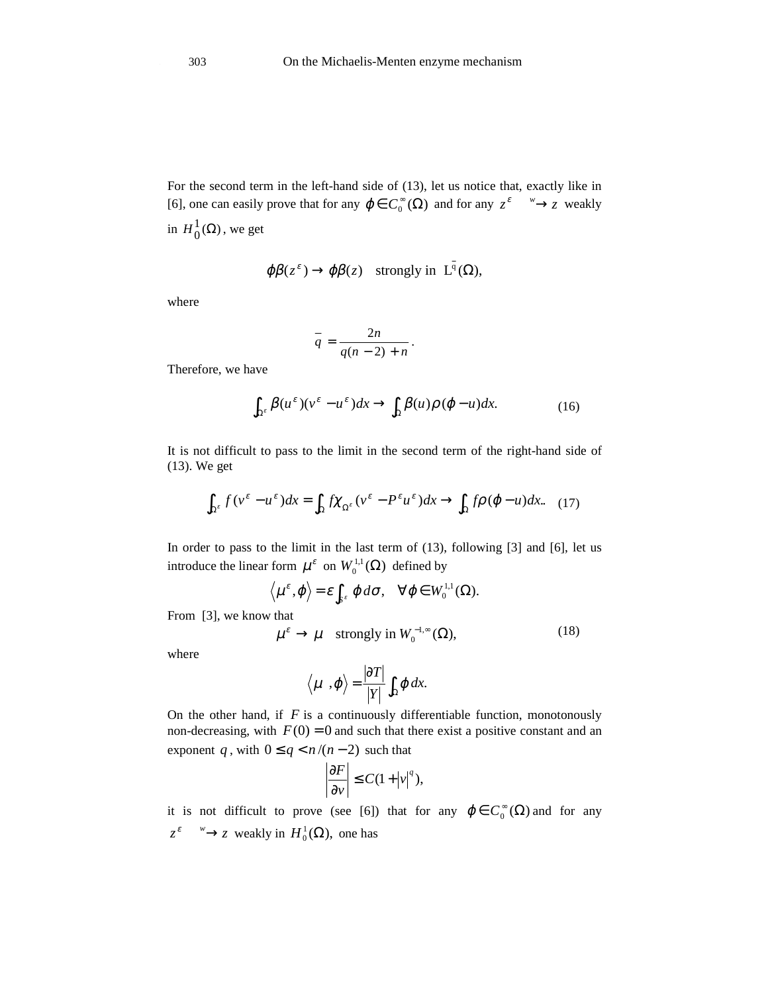For the second term in the left-hand side of (13), let us notice that, exactly like in [6], one can easily prove that for any  $\varphi \in C_0^{\infty}(\Omega)$  and for any  $z^{\varepsilon} \longrightarrow z$  weakly in  $H_0^1(\Omega)$  $H_0^1(\Omega)$ , we get

$$
\varphi\beta(z^{\varepsilon}) \to \varphi\beta(z)
$$
 strongly in  $L^{q}(\Omega)$ ,

where

$$
\overline{q} = \frac{2n}{q(n-2)+n}.
$$

Therefore, we have

$$
\int_{\Omega^{\varepsilon}} \beta(u^{\varepsilon})(v^{\varepsilon} - u^{\varepsilon}) dx \to \int_{\Omega} \beta(u)\rho(\varphi - u) dx.
$$
 (16)

 $\overline{a}$ 

It is not difficult to pass to the limit in the second term of the right-hand side of (13). We get

$$
\int_{\Omega^{\varepsilon}} f(v^{\varepsilon} - u^{\varepsilon}) dx = \int_{\Omega} f \chi_{\Omega^{\varepsilon}} (v^{\varepsilon} - P^{\varepsilon} u^{\varepsilon}) dx \to \int_{\Omega} f \rho (\varphi - u) dx. \tag{17}
$$

In order to pass to the limit in the last term of (13), following [3] and [6], let us introduce the linear form  $\mu^{\varepsilon}$  on  $W_0^{1,1}(\Omega)$  defined by

$$
\langle \mu^{\varepsilon}, \varphi \rangle = \varepsilon \int_{S^{\varepsilon}} \varphi \, d\sigma, \quad \forall \varphi \in W_0^{1,1}(\Omega).
$$

From [3], we know that

$$
\mu^{\varepsilon} \to \mu \quad \text{strongly in } W_0^{-1,\infty}(\Omega),\tag{18}
$$

where

$$
\langle \mu, \phi \rangle = \frac{|\partial T|}{|Y|} \int_{\Omega} \phi \, dx.
$$

On the other hand, if  $F$  is a continuously differentiable function, monotonously non-decreasing, with  $F(0) = 0$  and such that there exist a positive constant and an exponent *q*, with  $0 \leq q \leq n/(n-2)$  such that

$$
\left|\frac{\partial F}{\partial v}\right| \leq C(1+|v|^q),
$$

it is not difficult to prove (see [6]) that for any  $\varphi \in C_0^{\infty}(\Omega)$  and for any  $z^{\varepsilon} \longrightarrow z$  weakly in  $H_0^1(\Omega)$ , one has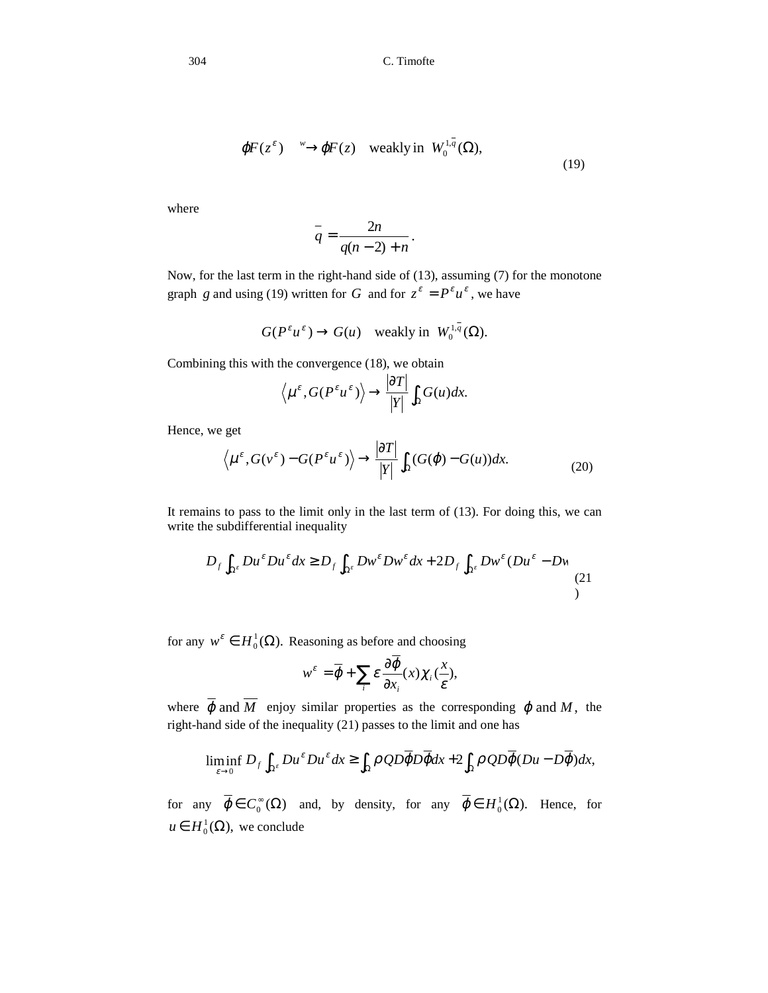304 C. Timofte

$$
\varphi F(z^{\varepsilon}) \xrightarrow{w} \varphi F(z) \quad \text{weakly in} \ \ W_0^{1,q}(\Omega),\tag{19}
$$

.

where

$$
\overline{q} = \frac{2n}{q(n-2) + n}
$$

Now, for the last term in the right-hand side of (13), assuming (7) for the monotone graph *g* and using (19) written for *G* and for  $z^{\varepsilon} = P^{\varepsilon} u^{\varepsilon}$ , we have

$$
G(P^{\varepsilon}u^{\varepsilon}) \to G(u)
$$
 weakly in  $W_0^{1,q}(\Omega)$ .

Combining this with the convergence (18), we obtain

$$
\langle \mu^{\varepsilon}, G(P^{\varepsilon} u^{\varepsilon}) \rangle \rightarrow \frac{|\partial T|}{|Y|} \int_{\Omega} G(u) dx.
$$

Hence, we get

$$
\langle \mu^{\varepsilon}, G(\nu^{\varepsilon}) - G(P^{\varepsilon} u^{\varepsilon}) \rangle \to \frac{|\partial T|}{|Y|} \int_{\Omega} (G(\varphi) - G(u)) dx.
$$
 (20)

It remains to pass to the limit only in the last term of (13). For doing this, we can write the subdifferential inequality

$$
D_f \int_{\Omega^{\varepsilon}} D u^{\varepsilon} D u^{\varepsilon} dx \ge D_f \int_{\Omega^{\varepsilon}} D w^{\varepsilon} D w^{\varepsilon} dx + 2 D_f \int_{\Omega^{\varepsilon}} D w^{\varepsilon} (D u^{\varepsilon} - D w) \tag{21}
$$

for any  $w^{\varepsilon} \in H_0^1(\Omega)$ . Reasoning as before and choosing

$$
w^{\varepsilon} = \overline{\varphi} + \sum_{i} \varepsilon \frac{\partial \varphi}{\partial x_i}(x) \chi_i(\frac{x}{\varepsilon}),
$$

where  $\overline{\varphi}$  and  $\overline{M}$  enjoy similar properties as the corresponding  $\varphi$  and  $M$ , the right-hand side of the inequality (21) passes to the limit and one has

$$
\liminf_{\varepsilon \to 0} D_f \int_{\Omega^{\varepsilon}} Du^{\varepsilon} Du^{\varepsilon} dx \ge \int_{\Omega} \rho \, QD \overline{\phi} D \overline{\phi} dx + 2 \int_{\Omega} \rho \, QD \overline{\phi} (Du - D \overline{\phi}) dx,
$$

for any  $\varphi \in C_0^{\infty}(\Omega)$  and, by density, for any  $\varphi \in H_0^1(\Omega)$ . Hence, for  $u \in H_0^1(\Omega)$ , we conclude